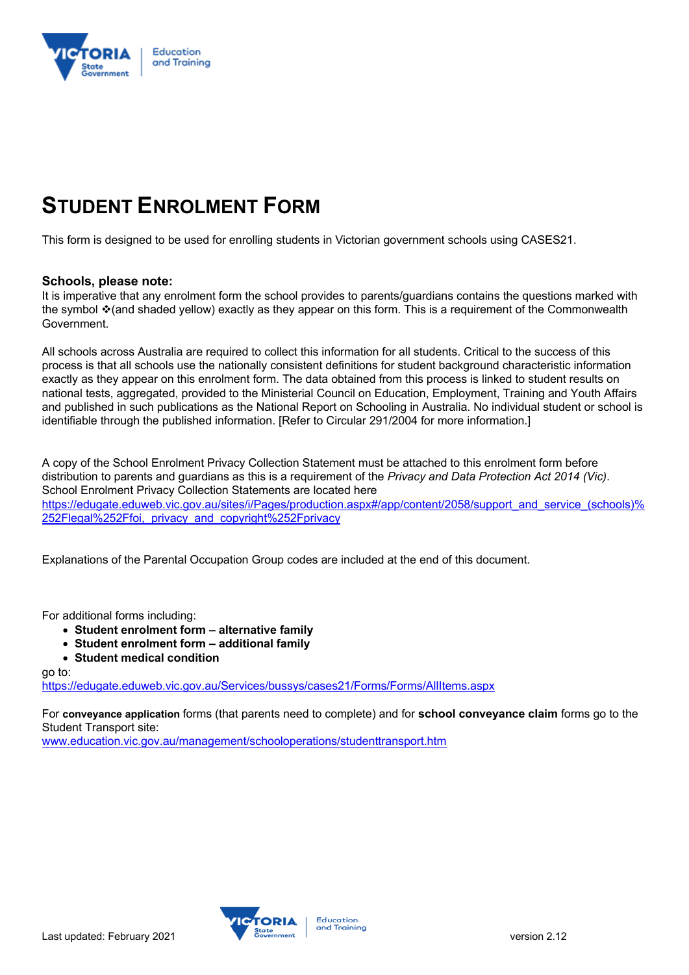

# **STUDENT ENROLMENT FORM**

This form is designed to be used for enrolling students in Victorian government schools using CASES21.

### **Schools, please note:**

It is imperative that any enrolment form the school provides to parents/guardians contains the questions marked with the symbol \* (and shaded yellow) exactly as they appear on this form. This is a requirement of the Commonwealth Government.

All schools across Australia are required to collect this information for all students. Critical to the success of this process is that all schools use the nationally consistent definitions for student background characteristic information exactly as they appear on this enrolment form. The data obtained from this process is linked to student results on national tests, aggregated, provided to the Ministerial Council on Education, Employment, Training and Youth Affairs and published in such publications as the National Report on Schooling in Australia. No individual student or school is identifiable through the published information. [Refer to Circular 291/2004 for more information.]

A copy of the School Enrolment Privacy Collection Statement must be attached to this enrolment form before distribution to parents and guardians as this is a requirement of the *Privacy and Data Protection Act 2014 (Vic)*. School Enrolment Privacy Collection Statements are located here https://edugate.eduweb.vic.gov.au/sites/i/Pages/production.aspx#/app/content/2058/support\_and\_service\_(schools)% 252Flegal%252Ffoi, privacy and copyright%252Fprivacy

Explanations of the Parental Occupation Group codes are included at the end of this document.

For additional forms including:

- **Student enrolment form – alternative family**
- **Student enrolment form – additional family**
- **Student medical condition**

go to:

https://edugate.eduweb.vic.gov.au/Services/bussys/cases21/Forms/Forms/AllItems.aspx

For **conveyance application** forms (that parents need to complete) and for **school conveyance claim** forms go to the Student Transport site:

www.education.vic.gov.au/management/schooloperations/studenttransport.htm

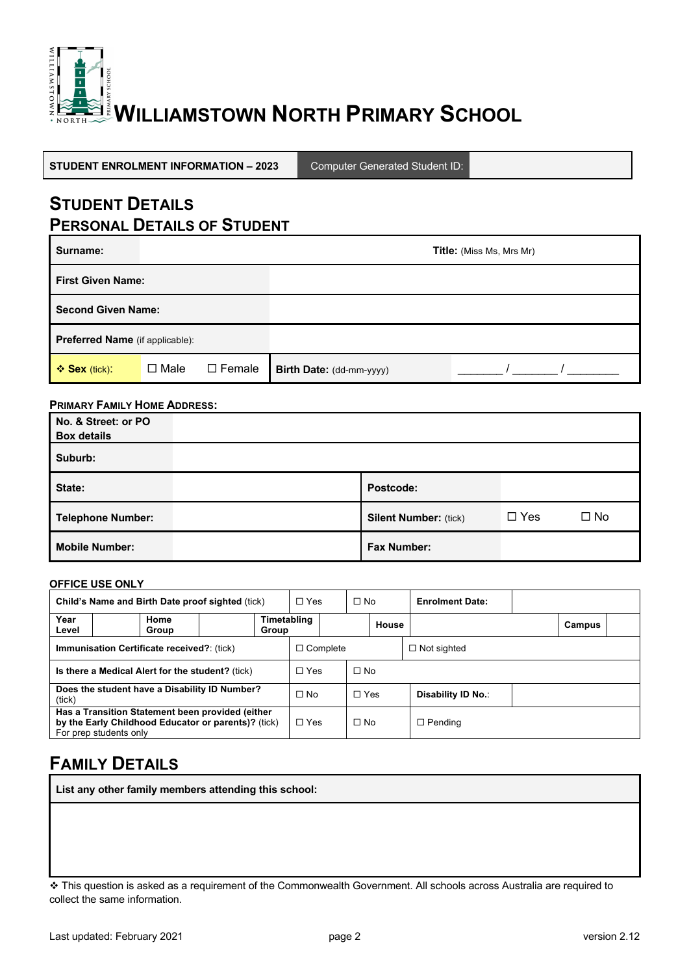

**STUDENT ENROLMENT INFORMATION – 2023** Computer Generated Student ID:

## **STUDENT DETAILS PERSONAL DETAILS OF STUDENT**

| Surname:                               |             |               |                          | Title: (Miss Ms, Mrs Mr) |
|----------------------------------------|-------------|---------------|--------------------------|--------------------------|
| <b>First Given Name:</b>               |             |               |                          |                          |
| <b>Second Given Name:</b>              |             |               |                          |                          |
| <b>Preferred Name</b> (if applicable): |             |               |                          |                          |
| ❖ Sex (tick):                          | $\Box$ Male | $\Box$ Female | Birth Date: (dd-mm-yyyy) |                          |

### **PRIMARY FAMILY HOME ADDRESS:**

| No. & Street: or PO<br><b>Box details</b> |                              |            |           |
|-------------------------------------------|------------------------------|------------|-----------|
| Suburb:                                   |                              |            |           |
| State:                                    | Postcode:                    |            |           |
| <b>Telephone Number:</b>                  | <b>Silent Number: (tick)</b> | $\Box$ Yes | $\Box$ No |
| <b>Mobile Number:</b>                     | <b>Fax Number:</b>           |            |           |

#### **OFFICE USE ONLY**

| Child's Name and Birth Date proof sighted (tick)        |                                                                                                                                   | $\Box$ Yes | $\Box$ No            |                 | <b>Enrolment Date:</b> |                    |                    |        |
|---------------------------------------------------------|-----------------------------------------------------------------------------------------------------------------------------------|------------|----------------------|-----------------|------------------------|--------------------|--------------------|--------|
| Year<br>Level                                           | Home<br>Group                                                                                                                     |            | Timetabling<br>Group |                 |                        | House              |                    | Campus |
|                                                         | <b>Immunisation Certificate received?</b> : (tick)                                                                                |            |                      | $\Box$ Complete |                        |                    | $\Box$ Not sighted |        |
| Is there a Medical Alert for the student? (tick)        |                                                                                                                                   |            | $\Box$ Yes           | $\Box$ No       |                        |                    |                    |        |
| Does the student have a Disability ID Number?<br>(tick) |                                                                                                                                   |            | $\Box$ No            | $\Box$ Yes      |                        | Disability ID No.: |                    |        |
|                                                         | Has a Transition Statement been provided (either<br>by the Early Childhood Educator or parents)? (tick)<br>For prep students only |            |                      | $\Box$ Yes      | $\Box$ No              |                    | $\Box$ Pending     |        |

# **FAMILY DETAILS**

**List any other family members attending this school:**

\* This question is asked as a requirement of the Commonwealth Government. All schools across Australia are required to collect the same information.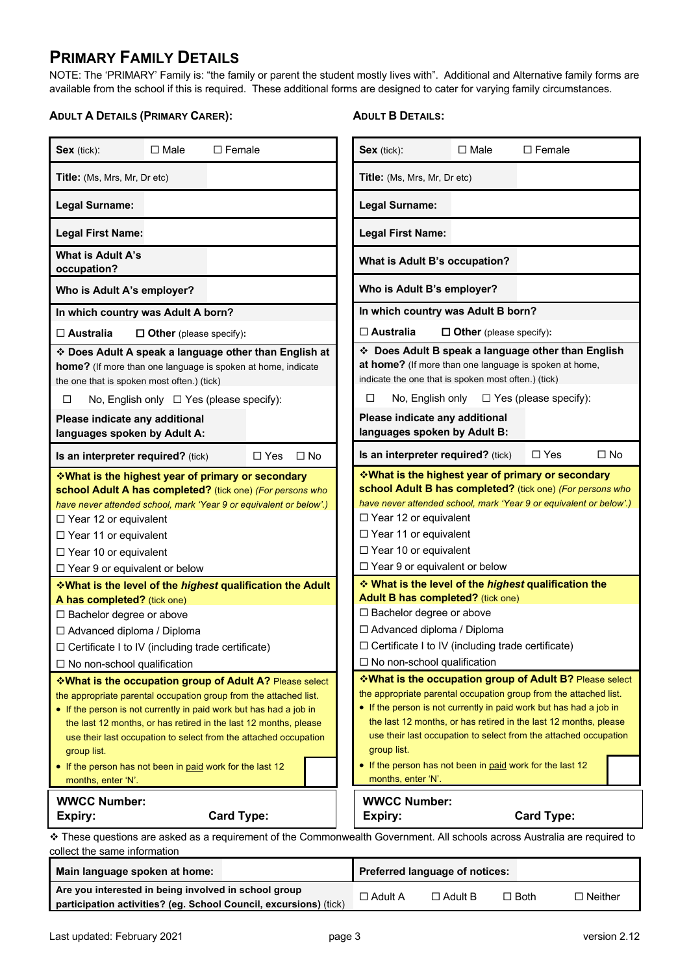### **PRIMARY FAMILY DETAILS**

NOTE: The 'PRIMARY' Family is: "the family or parent the student mostly lives with". Additional and Alternative family forms are available from the school if this is required. These additional forms are designed to cater for varying family circumstances.

#### **ADULT A DETAILS (PRIMARY CARER):**

### **ADULT B DETAILS:**

| Sex (tick):                                                                                                                                                                                                                                                                                 | $\Box$ Male<br>$\Box$ Female                                                                                                                                                                                                                                                                                                                                                                            |                         | Sex (tick):<br>$\Box$ Male<br>$\Box$ Female                                                                                                                                                                                                                                                                                                                                                                                                        |  |  |
|---------------------------------------------------------------------------------------------------------------------------------------------------------------------------------------------------------------------------------------------------------------------------------------------|---------------------------------------------------------------------------------------------------------------------------------------------------------------------------------------------------------------------------------------------------------------------------------------------------------------------------------------------------------------------------------------------------------|-------------------------|----------------------------------------------------------------------------------------------------------------------------------------------------------------------------------------------------------------------------------------------------------------------------------------------------------------------------------------------------------------------------------------------------------------------------------------------------|--|--|
| <b>Title:</b> (Ms, Mrs, Mr, Dr etc)                                                                                                                                                                                                                                                         |                                                                                                                                                                                                                                                                                                                                                                                                         |                         | <b>Title:</b> (Ms, Mrs, Mr, Dr etc)                                                                                                                                                                                                                                                                                                                                                                                                                |  |  |
| Legal Surname:                                                                                                                                                                                                                                                                              |                                                                                                                                                                                                                                                                                                                                                                                                         |                         | <b>Legal Surname:</b>                                                                                                                                                                                                                                                                                                                                                                                                                              |  |  |
| <b>Legal First Name:</b>                                                                                                                                                                                                                                                                    |                                                                                                                                                                                                                                                                                                                                                                                                         |                         | <b>Legal First Name:</b>                                                                                                                                                                                                                                                                                                                                                                                                                           |  |  |
| What is Adult A's<br>occupation?                                                                                                                                                                                                                                                            |                                                                                                                                                                                                                                                                                                                                                                                                         |                         | What is Adult B's occupation?                                                                                                                                                                                                                                                                                                                                                                                                                      |  |  |
| Who is Adult A's employer?                                                                                                                                                                                                                                                                  |                                                                                                                                                                                                                                                                                                                                                                                                         |                         | Who is Adult B's employer?                                                                                                                                                                                                                                                                                                                                                                                                                         |  |  |
|                                                                                                                                                                                                                                                                                             | In which country was Adult A born?                                                                                                                                                                                                                                                                                                                                                                      |                         | In which country was Adult B born?                                                                                                                                                                                                                                                                                                                                                                                                                 |  |  |
| $\Box$ Australia                                                                                                                                                                                                                                                                            | $\Box$ Other (please specify):                                                                                                                                                                                                                                                                                                                                                                          |                         | $\Box$ Australia<br>$\Box$ Other (please specify):                                                                                                                                                                                                                                                                                                                                                                                                 |  |  |
| the one that is spoken most often.) (tick)                                                                                                                                                                                                                                                  | * Does Adult A speak a language other than English at<br>home? (If more than one language is spoken at home, indicate                                                                                                                                                                                                                                                                                   |                         | Does Adult B speak a language other than English<br>at home? (If more than one language is spoken at home,<br>indicate the one that is spoken most often.) (tick)                                                                                                                                                                                                                                                                                  |  |  |
| □                                                                                                                                                                                                                                                                                           | No, English only $\Box$ Yes (please specify):                                                                                                                                                                                                                                                                                                                                                           |                         | No, English only<br>$\Box$ Yes (please specify):<br>□                                                                                                                                                                                                                                                                                                                                                                                              |  |  |
| Please indicate any additional<br>languages spoken by Adult A:                                                                                                                                                                                                                              |                                                                                                                                                                                                                                                                                                                                                                                                         |                         | Please indicate any additional<br>languages spoken by Adult B:                                                                                                                                                                                                                                                                                                                                                                                     |  |  |
| Is an interpreter required? (tick)                                                                                                                                                                                                                                                          |                                                                                                                                                                                                                                                                                                                                                                                                         | $\Box$ No<br>$\Box$ Yes | $\Box$ Yes<br>$\Box$ No<br>Is an interpreter required? (tick)                                                                                                                                                                                                                                                                                                                                                                                      |  |  |
| <b>VVhat is the highest year of primary or secondary</b><br>school Adult A has completed? (tick one) (For persons who<br>have never attended school, mark 'Year 9 or equivalent or below'.)<br>$\Box$ Year 12 or equivalent<br>$\Box$ Year 11 or equivalent<br>$\Box$ Year 10 or equivalent |                                                                                                                                                                                                                                                                                                                                                                                                         |                         | <b>Vhat is the highest year of primary or secondary</b><br>school Adult B has completed? (tick one) (For persons who<br>have never attended school, mark 'Year 9 or equivalent or below'.)<br>$\Box$ Year 12 or equivalent<br>$\Box$ Year 11 or equivalent<br>$\Box$ Year 10 or equivalent<br>$\Box$ Year 9 or equivalent or below                                                                                                                 |  |  |
| $\Box$ Year 9 or equivalent or below                                                                                                                                                                                                                                                        | <b>What is the level of the highest qualification the Adult</b>                                                                                                                                                                                                                                                                                                                                         |                         | ❖ What is the level of the <i>highest</i> qualification the                                                                                                                                                                                                                                                                                                                                                                                        |  |  |
| A has completed? (tick one)<br>□ Bachelor degree or above<br>□ Advanced diploma / Diploma                                                                                                                                                                                                   | $\Box$ Certificate I to IV (including trade certificate)                                                                                                                                                                                                                                                                                                                                                |                         | Adult B has completed? (tick one)<br>□ Bachelor degree or above<br>□ Advanced diploma / Diploma<br>$\Box$ Certificate I to IV (including trade certificate)<br>$\Box$ No non-school qualification                                                                                                                                                                                                                                                  |  |  |
| $\Box$ No non-school qualification<br>group list.<br>months, enter 'N'.                                                                                                                                                                                                                     | *What is the occupation group of Adult A? Please select<br>the appropriate parental occupation group from the attached list.<br>• If the person is not currently in paid work but has had a job in<br>the last 12 months, or has retired in the last 12 months, please<br>use their last occupation to select from the attached occupation<br>• If the person has not been in paid work for the last 12 |                         | <b>What is the occupation group of Adult B? Please select</b><br>the appropriate parental occupation group from the attached list.<br>• If the person is not currently in paid work but has had a job in<br>the last 12 months, or has retired in the last 12 months, please<br>use their last occupation to select from the attached occupation<br>group list.<br>• If the person has not been in paid work for the last 12<br>months, enter 'N'. |  |  |
| <b>WWCC Number:</b><br>Expiry:                                                                                                                                                                                                                                                              | <b>Card Type:</b>                                                                                                                                                                                                                                                                                                                                                                                       |                         | <b>WWCC Number:</b><br><b>Card Type:</b><br>Expiry:                                                                                                                                                                                                                                                                                                                                                                                                |  |  |
| collect the same information                                                                                                                                                                                                                                                                |                                                                                                                                                                                                                                                                                                                                                                                                         |                         | * These questions are asked as a requirement of the Commonwealth Government. All schools across Australia are required to                                                                                                                                                                                                                                                                                                                          |  |  |

| Main language spoken at home:                                                                                             |           | <b>Preferred language of notices:</b> |             |                |
|---------------------------------------------------------------------------------------------------------------------------|-----------|---------------------------------------|-------------|----------------|
| Are you interested in being involved in school group<br>participation activities? (eg. School Council, excursions) (tick) | □ Adult A | $\Box$ Adult B                        | $\Box$ Both | $\Box$ Neither |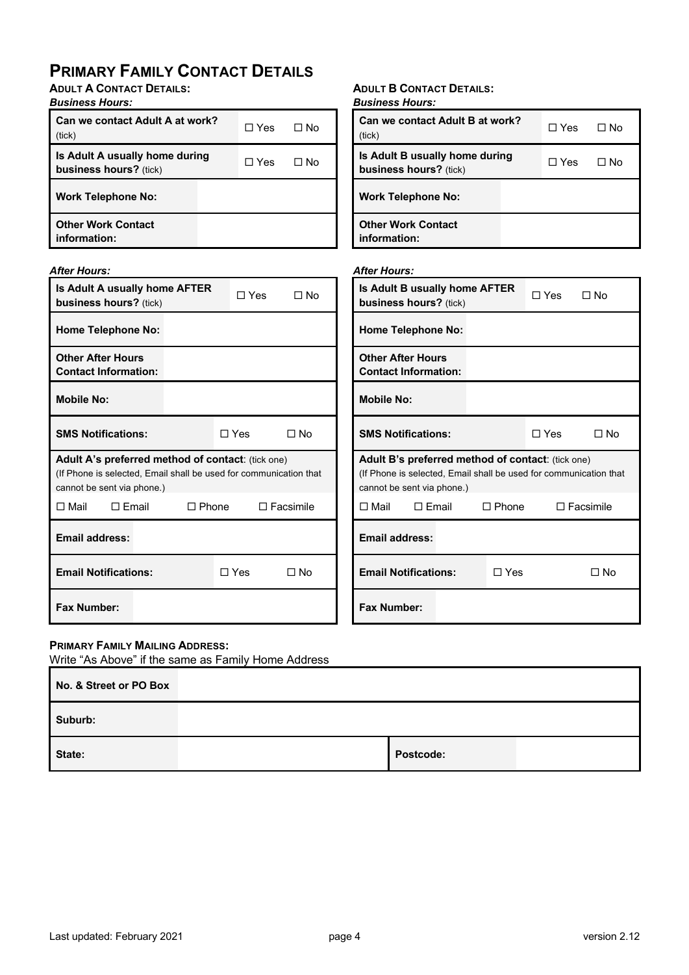# **PRIMARY FAMILY CONTACT DETAILS**

**ADULT A CONTACT DETAILS:**

### *Business Hours:*

| Can we contact Adult A at work?<br>(tick)                | ∩ Yes | ⊟ No |
|----------------------------------------------------------|-------|------|
| Is Adult A usually home during<br>business hours? (tick) | ∏ Yes | ⊟ No |
| <b>Work Telephone No:</b>                                |       |      |
| <b>Other Work Contact</b><br>information:                |       |      |

#### *After Hours:*

| Is Adult A usually home AFTER<br><b>business hours?</b> (tick)                                                                                       | ∩ Yes | No T             |  |  |  |  |
|------------------------------------------------------------------------------------------------------------------------------------------------------|-------|------------------|--|--|--|--|
| <b>Home Telephone No:</b>                                                                                                                            |       |                  |  |  |  |  |
| <b>Other After Hours</b><br><b>Contact Information:</b>                                                                                              |       |                  |  |  |  |  |
| <b>Mobile No:</b>                                                                                                                                    |       |                  |  |  |  |  |
| $\Box$ Yes<br>∩ No<br><b>SMS Notifications:</b>                                                                                                      |       |                  |  |  |  |  |
| Adult A's preferred method of contact: (tick one)<br>(If Phone is selected, Email shall be used for communication that<br>cannot be sent via phone.) |       |                  |  |  |  |  |
| $\Box$ Mail<br>$\Box$ Email<br>$\Box$ Phone                                                                                                          |       | $\Box$ Facsimile |  |  |  |  |
| Email address:                                                                                                                                       |       |                  |  |  |  |  |
| <b>Email Notifications:</b><br>$\Box$ Yes<br>∩ No                                                                                                    |       |                  |  |  |  |  |
| <b>Fax Number:</b>                                                                                                                                   |       |                  |  |  |  |  |

### **ADULT B CONTACT DETAILS:**

| <b>Business Hours:</b>                                   |              |      |
|----------------------------------------------------------|--------------|------|
| <b>Can we contact Adult B at work?</b><br>(tick)         | $\sqcap$ Yes | ⊓ N∩ |
| Is Adult B usually home during<br>business hours? (tick) | ∏ Yes        | ⊟ No |
| <b>Work Telephone No:</b>                                |              |      |
| Nthar Wark Cantont                                       |              |      |

**Other Work Contact information:**

#### *After Hours:*

| Is Adult B usually home AFTER<br><b>business hours?</b> (tick)                                                                                              | ∩ Yes        | ∩ No                  |                  |
|-------------------------------------------------------------------------------------------------------------------------------------------------------------|--------------|-----------------------|------------------|
| <b>Home Telephone No:</b>                                                                                                                                   |              |                       |                  |
| <b>Other After Hours</b><br><b>Contact Information:</b>                                                                                                     |              |                       |                  |
| <b>Mobile No:</b>                                                                                                                                           |              |                       |                  |
| <b>SMS Notifications:</b>                                                                                                                                   |              | $\sqcap$ Yes $\sqcap$ | ∩ No             |
| <b>Adult B's preferred method of contact:</b> (tick one)<br>(If Phone is selected, Email shall be used for communication that<br>cannot be sent via phone.) |              |                       |                  |
| $\Box$ Mail<br>$\sqcap$ Email                                                                                                                               | $\Box$ Phone |                       | $\Box$ Facsimile |
| <b>Email address:</b>                                                                                                                                       |              |                       |                  |
| <b>Email Notifications:</b>                                                                                                                                 | $\Box$ Yes   |                       | ∩ No             |
| <b>Fax Number:</b>                                                                                                                                          |              |                       |                  |

### **PRIMARY FAMILY MAILING ADDRESS:**

Write "As Above" if the same as Family Home Address

| No. & Street or PO Box |                  |  |
|------------------------|------------------|--|
| Suburb:                |                  |  |
| State:                 | <b>Postcode:</b> |  |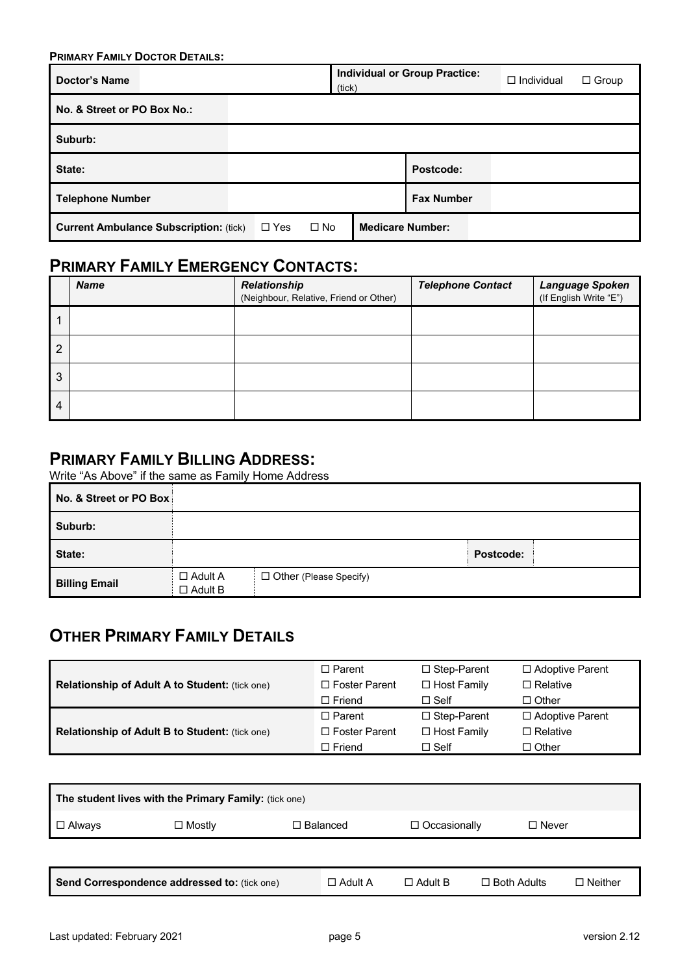| <b>PRIMARY FAMILY DOCTOR DETAILS:</b>         |            |           |                         |                                      |                   |              |  |  |
|-----------------------------------------------|------------|-----------|-------------------------|--------------------------------------|-------------------|--------------|--|--|
| <b>Doctor's Name</b>                          |            |           | (tick)                  | <b>Individual or Group Practice:</b> | $\Box$ Individual | $\Box$ Group |  |  |
| No. & Street or PO Box No.:                   |            |           |                         |                                      |                   |              |  |  |
| Suburb:                                       |            |           |                         |                                      |                   |              |  |  |
| State:                                        |            |           |                         | Postcode:                            |                   |              |  |  |
| <b>Telephone Number</b>                       |            |           |                         | <b>Fax Number</b>                    |                   |              |  |  |
| <b>Current Ambulance Subscription: (tick)</b> | $\Box$ Yes | $\Box$ No | <b>Medicare Number:</b> |                                      |                   |              |  |  |

# **PRIMARY FAMILY EMERGENCY CONTACTS:**

|                | <b>Name</b> | <b>Relationship</b><br>(Neighbour, Relative, Friend or Other) | <b>Telephone Contact</b> | Language Spoken<br>(If English Write "E") |
|----------------|-------------|---------------------------------------------------------------|--------------------------|-------------------------------------------|
|                |             |                                                               |                          |                                           |
| $\overline{2}$ |             |                                                               |                          |                                           |
| 3              |             |                                                               |                          |                                           |
| 4              |             |                                                               |                          |                                           |

## **PRIMARY FAMILY BILLING ADDRESS:**

Write "As Above" if the same as Family Home Address

| No. & Street or PO Box |                                  |                          |           |
|------------------------|----------------------------------|--------------------------|-----------|
| Suburb:                |                                  |                          |           |
| State:                 |                                  |                          | Postcode: |
| <b>Billing Email</b>   | $\Box$ Adult A<br>$\Box$ Adult B | □ Other (Please Specify) |           |

# **OTHER PRIMARY FAMILY DETAILS**

|                                                       | $\Box$ Parent   | $\Box$ Step-Parent | □ Adoptive Parent |
|-------------------------------------------------------|-----------------|--------------------|-------------------|
| <b>Relationship of Adult A to Student: (tick one)</b> | □ Foster Parent | $\Box$ Host Family | □ Relative        |
|                                                       | $\Box$ Friend   | $\Box$ Self        | $\Box$ Other      |
|                                                       | $\Box$ Parent   | $\Box$ Step-Parent | □ Adoptive Parent |
| <b>Relationship of Adult B to Student: (tick one)</b> | □ Foster Parent | $\Box$ Host Family | $\Box$ Relative   |
|                                                       | $\Box$ Friend   | $\Box$ Self        | $\Box$ Other      |

| The student lives with the Primary Family: (tick one) |                                              |                 |                |                                      |  |  |  |  |  |
|-------------------------------------------------------|----------------------------------------------|-----------------|----------------|--------------------------------------|--|--|--|--|--|
| $\Box$ Always                                         | $\Box$ Mostly                                | $\Box$ Balanced |                | $\Box$ Never                         |  |  |  |  |  |
|                                                       |                                              |                 |                |                                      |  |  |  |  |  |
|                                                       | Send Correspondence addressed to: (tick one) | $\Box$ Adult A  | $\Box$ Adult B | $\Box$ Both Adults<br>$\Box$ Neither |  |  |  |  |  |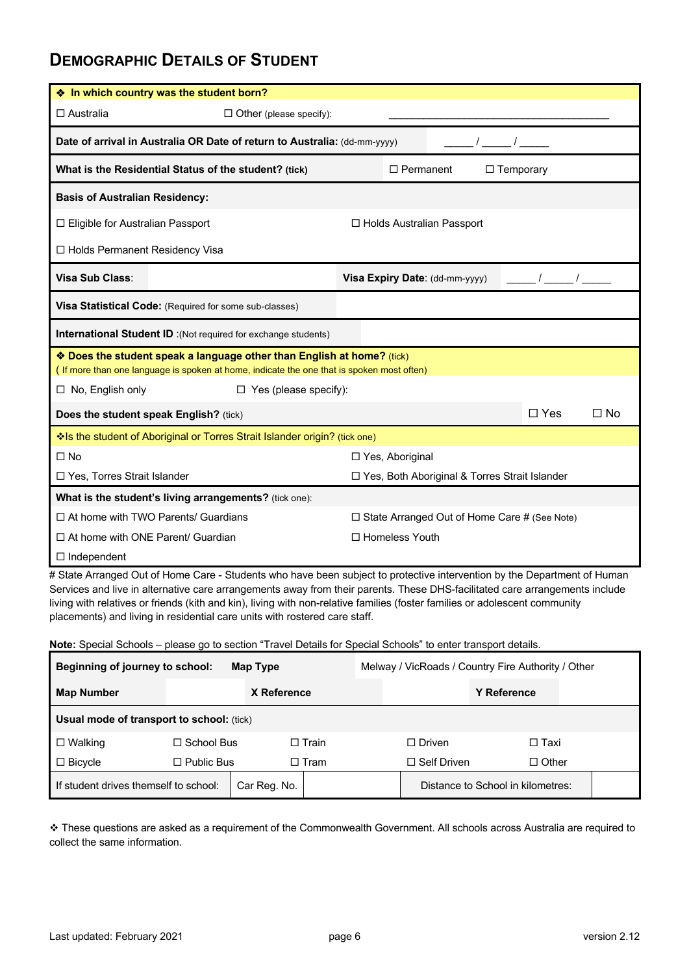### **DEMOGRAPHIC DETAILS OF STUDENT**

| ◆ In which country was the student born?                                                          |                                                                                                                                                                     |                                  |  |  |  |  |  |
|---------------------------------------------------------------------------------------------------|---------------------------------------------------------------------------------------------------------------------------------------------------------------------|----------------------------------|--|--|--|--|--|
| $\Box$ Australia                                                                                  | $\Box$ Other (please specify):                                                                                                                                      |                                  |  |  |  |  |  |
| Date of arrival in Australia OR Date of return to Australia: (dd-mm-yyyy)                         |                                                                                                                                                                     |                                  |  |  |  |  |  |
| What is the Residential Status of the student? (tick)<br>$\Box$ Permanent<br>$\Box$ Temporary     |                                                                                                                                                                     |                                  |  |  |  |  |  |
| <b>Basis of Australian Residency:</b>                                                             |                                                                                                                                                                     |                                  |  |  |  |  |  |
| $\Box$ Eligible for Australian Passport                                                           |                                                                                                                                                                     | $\Box$ Holds Australian Passport |  |  |  |  |  |
| $\Box$ Holds Permanent Residency Visa                                                             |                                                                                                                                                                     |                                  |  |  |  |  |  |
| <b>Visa Sub Class:</b>                                                                            |                                                                                                                                                                     | Visa Expiry Date: (dd-mm-yyyy)   |  |  |  |  |  |
|                                                                                                   | Visa Statistical Code: (Required for some sub-classes)                                                                                                              |                                  |  |  |  |  |  |
|                                                                                                   | <b>International Student ID</b> : (Not required for exchange students)                                                                                              |                                  |  |  |  |  |  |
|                                                                                                   | ❖ Does the student speak a language other than English at home? (tick)<br>(If more than one language is spoken at home, indicate the one that is spoken most often) |                                  |  |  |  |  |  |
| $\Box$ No, English only                                                                           | $\Box$ Yes (please specify):                                                                                                                                        |                                  |  |  |  |  |  |
|                                                                                                   | Does the student speak English? (tick)                                                                                                                              | $\Box$ Yes<br>$\Box$ No          |  |  |  |  |  |
|                                                                                                   | Is the student of Aboriginal or Torres Strait Islander origin? (tick one)                                                                                           |                                  |  |  |  |  |  |
| $\square$ No                                                                                      |                                                                                                                                                                     | $\Box$ Yes, Aboriginal           |  |  |  |  |  |
| $\Box$ Yes, Torres Strait Islander<br>□ Yes, Both Aboriginal & Torres Strait Islander             |                                                                                                                                                                     |                                  |  |  |  |  |  |
| What is the student's living arrangements? (tick one):                                            |                                                                                                                                                                     |                                  |  |  |  |  |  |
| $\Box$ At home with TWO Parents/ Guardians<br>$\Box$ State Arranged Out of Home Care # (See Note) |                                                                                                                                                                     |                                  |  |  |  |  |  |
| $\Box$ At home with ONE Parent/ Guardian                                                          |                                                                                                                                                                     | □ Homeless Youth                 |  |  |  |  |  |
| $\Box$ Independent                                                                                |                                                                                                                                                                     |                                  |  |  |  |  |  |

# State Arranged Out of Home Care - Students who have been subject to protective intervention by the Department of Human Services and live in alternative care arrangements away from their parents. These DHS-facilitated care arrangements include living with relatives or friends (kith and kin), living with non-relative families (foster families or adolescent community placements) and living in residential care units with rostered care staff.

**Note:** Special Schools – please go to section "Travel Details for Special Schools" to enter transport details.

| <b>Beginning of journey to school:</b><br>Map Type    |                   |             | Melway / VicRoads / Country Fire Authority / Other |                    |                                   |  |
|-------------------------------------------------------|-------------------|-------------|----------------------------------------------------|--------------------|-----------------------------------|--|
| <b>Map Number</b>                                     |                   | X Reference |                                                    | <b>Y Reference</b> |                                   |  |
| <b>Usual mode of transport to school:</b> (tick)      |                   |             |                                                    |                    |                                   |  |
| $\Box$ Walking                                        | $\Box$ School Bus |             | $\square$ Train                                    | $\Box$ Driven      | □ Taxi                            |  |
| $\Box$ Bicycle                                        | $\Box$ Public Bus |             | $\Box$ Tram                                        | $\Box$ Self Driven | $\Box$ Other                      |  |
| If student drives themself to school:<br>Car Reg. No. |                   |             |                                                    |                    | Distance to School in kilometres: |  |

v These questions are asked as a requirement of the Commonwealth Government. All schools across Australia are required to collect the same information.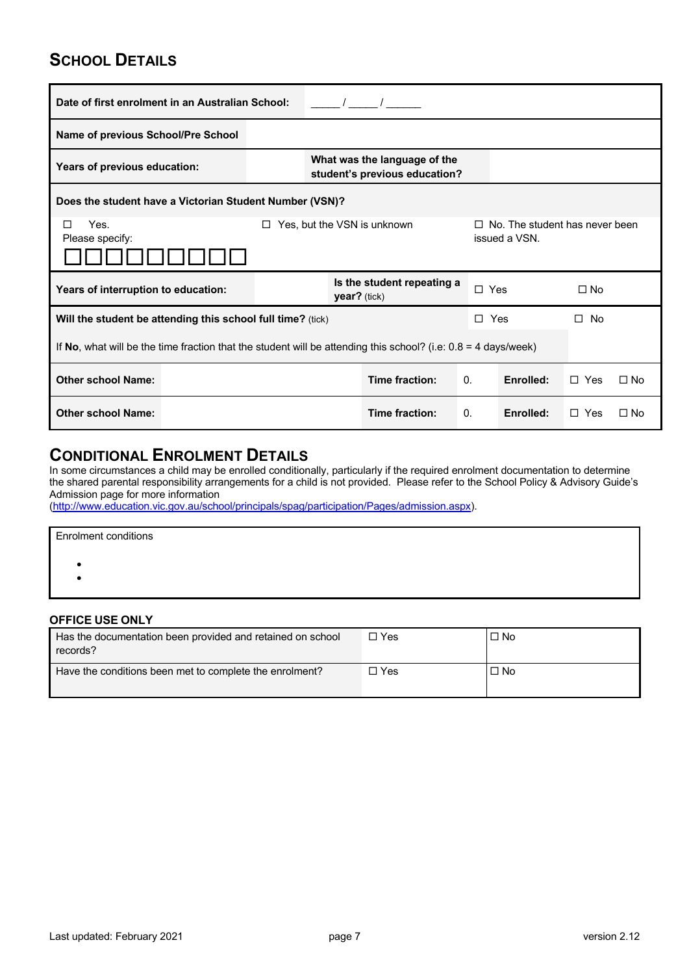# **SCHOOL DETAILS**

| Date of first enrolment in an Australian School:                                                                            |                                                               |                                              |  |                |           |              |           |
|-----------------------------------------------------------------------------------------------------------------------------|---------------------------------------------------------------|----------------------------------------------|--|----------------|-----------|--------------|-----------|
| Name of previous School/Pre School                                                                                          |                                                               |                                              |  |                |           |              |           |
| Years of previous education:                                                                                                | What was the language of the<br>student's previous education? |                                              |  |                |           |              |           |
| Does the student have a Victorian Student Number (VSN)?                                                                     |                                                               |                                              |  |                |           |              |           |
| Yes, but the VSN is unknown<br>Yes.<br>$\Box$ No. The student has never been<br>□<br>ΙI<br>issued a VSN.<br>Please specify: |                                                               |                                              |  |                |           |              |           |
| Years of interruption to education:                                                                                         |                                                               | Is the student repeating a<br>$year?$ (tick) |  | $\Box$ Yes     |           | $\Box$ No    |           |
| Will the student be attending this school full time? (tick)                                                                 |                                                               |                                              |  | $\Box$ Yes     |           | $\square$ No |           |
| If No, what will be the time fraction that the student will be attending this school? (i.e: $0.8 = 4$ days/week)            |                                                               |                                              |  |                |           |              |           |
| <b>Other school Name:</b>                                                                                                   |                                                               | Time fraction:                               |  | $\mathbf{0}$ . | Enrolled: | $\Box$ Yes   | $\Box$ No |
| <b>Other school Name:</b>                                                                                                   |                                                               | Time fraction:                               |  | $\mathbf{0}$ . | Enrolled: | $\Box$ Yes   | $\Box$ No |

### **CONDITIONAL ENROLMENT DETAILS**

In some circumstances a child may be enrolled conditionally, particularly if the required enrolment documentation to determine the shared parental responsibility arrangements for a child is not provided. Please refer to the School Policy & Advisory Guide's Admission page for more information

(http://www.education.vic.gov.au/school/principals/spag/participation/Pages/admission.aspx).

| <b>Enrolment conditions</b> |  |
|-----------------------------|--|
|                             |  |
|                             |  |
|                             |  |

### **OFFICE USE ONLY**

| Has the documentation been provided and retained on school<br>records? | □ Yes | $\Box$ No |
|------------------------------------------------------------------------|-------|-----------|
| Have the conditions been met to complete the enrolment?                | ∃ Yes | $\Box$ No |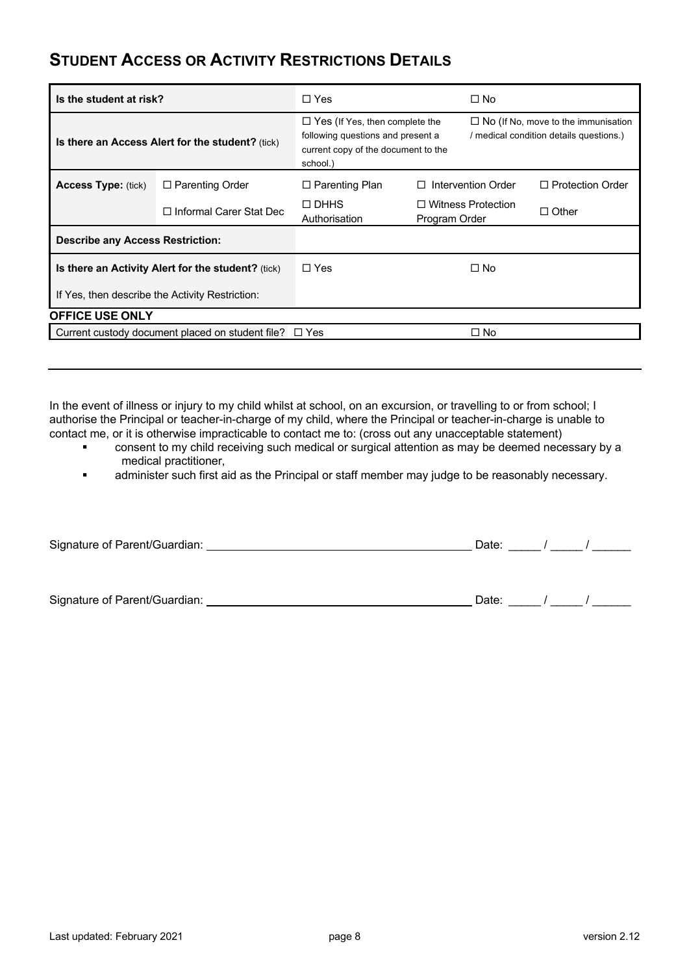## **STUDENT ACCESS OR ACTIVITY RESTRICTIONS DETAILS**

| Is the student at risk?                            |                                                             | $\Box$ Yes                                                                                                                    |                         | $\square$ No                                                                          |              |
|----------------------------------------------------|-------------------------------------------------------------|-------------------------------------------------------------------------------------------------------------------------------|-------------------------|---------------------------------------------------------------------------------------|--------------|
| Is there an Access Alert for the student? (tick)   |                                                             | $\Box$ Yes (If Yes, then complete the<br>following questions and present a<br>current copy of the document to the<br>school.) |                         | $\Box$ No (If No, move to the immunisation<br>/ medical condition details questions.) |              |
| <b>Access Type: (tick)</b>                         | $\Box$ Parenting Order                                      | $\Box$ Parenting Plan                                                                                                         | Intervention Order<br>П | $\Box$ Protection Order                                                               |              |
|                                                    | □ Informal Carer Stat Dec                                   | $\Box$ DHHS<br>Authorisation                                                                                                  | Program Order           | $\Box$ Witness Protection                                                             | $\Box$ Other |
| <b>Describe any Access Restriction:</b>            |                                                             |                                                                                                                               |                         |                                                                                       |              |
| Is there an Activity Alert for the student? (tick) |                                                             | $\Box$ Yes                                                                                                                    |                         | $\square$ No                                                                          |              |
| If Yes, then describe the Activity Restriction:    |                                                             |                                                                                                                               |                         |                                                                                       |              |
| <b>OFFICE USE ONLY</b>                             |                                                             |                                                                                                                               |                         |                                                                                       |              |
|                                                    | Current custody document placed on student file? $\Box$ Yes |                                                                                                                               |                         | $\square$ No                                                                          |              |

In the event of illness or injury to my child whilst at school, on an excursion, or travelling to or from school; I authorise the Principal or teacher-in-charge of my child, where the Principal or teacher-in-charge is unable to contact me, or it is otherwise impracticable to contact me to: (cross out any unacceptable statement)

- consent to my child receiving such medical or surgical attention as may be deemed necessary by a medical practitioner,
- administer such first aid as the Principal or staff member may judge to be reasonably necessary.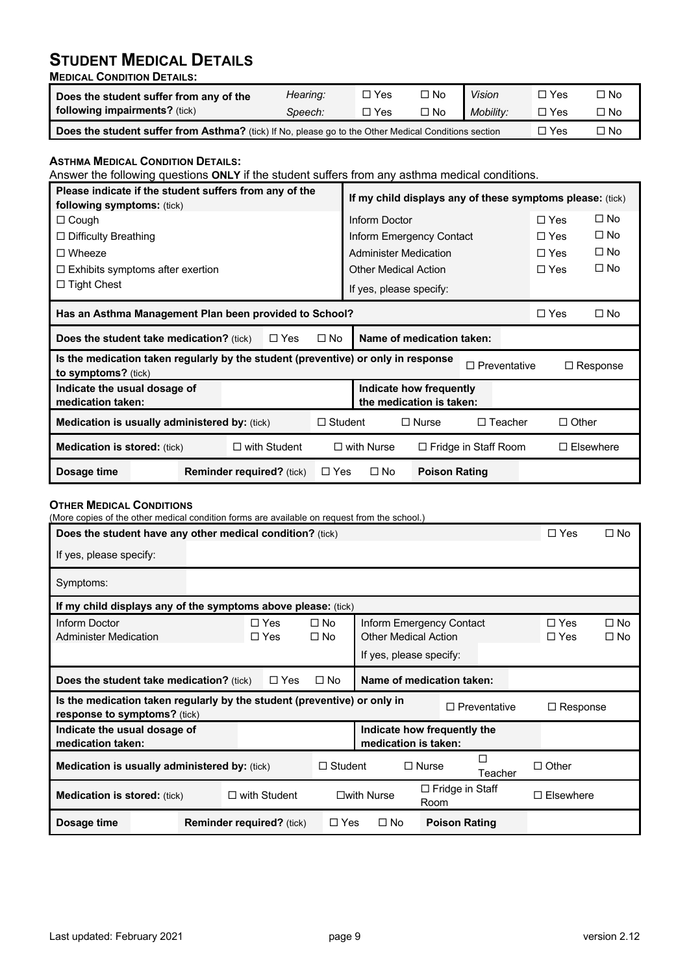# **STUDENT MEDICAL DETAILS**

**MEDICAL CONDITION DETAILS:**

| Does the student suffer from any of the                                                              | Hearing: | □ Yes | $\square$ No | <b>Vision</b> | $\Box$ Yes | コNo       |
|------------------------------------------------------------------------------------------------------|----------|-------|--------------|---------------|------------|-----------|
| <b>following impairments?</b> (tick)                                                                 | Speech:  | □ Yes | $\Box$ No    | Mobility:     | $\Box$ Yes | $\Box$ No |
| Does the student suffer from Asthma? (tick) If No, please go to the Other Medical Conditions section | □ Yes    | □ No  |              |               |            |           |

### **ASTHMA MEDICAL CONDITION DETAILS:**

Answer the following questions **ONLY** if the student suffers from any asthma medical conditions.

| Please indicate if the student suffers from any of the<br><b>following symptoms:</b> (tick)                |  |  |                                  | If my child displays any of these symptoms please: (tick) |                             |                                                     |                     |              |                 |
|------------------------------------------------------------------------------------------------------------|--|--|----------------------------------|-----------------------------------------------------------|-----------------------------|-----------------------------------------------------|---------------------|--------------|-----------------|
| $\Box$ Cough                                                                                               |  |  |                                  |                                                           | Inform Doctor               |                                                     |                     | $\Box$ Yes   | $\Box$ No       |
| $\Box$ Difficulty Breathing                                                                                |  |  |                                  |                                                           |                             | Inform Emergency Contact                            |                     | $\Box$ Yes   | $\square$ No    |
| $\Box$ Wheeze                                                                                              |  |  |                                  |                                                           |                             | <b>Administer Medication</b>                        |                     | $\Box$ Yes   | $\square$ No    |
| $\Box$ Exhibits symptoms after exertion                                                                    |  |  |                                  |                                                           |                             | <b>Other Medical Action</b>                         |                     | $\Box$ Yes   | $\square$ No    |
| $\Box$ Tight Chest                                                                                         |  |  |                                  |                                                           |                             | If yes, please specify:                             |                     |              |                 |
| Has an Asthma Management Plan been provided to School?                                                     |  |  |                                  |                                                           |                             |                                                     | $\Box$ Yes          | $\square$ No |                 |
| Name of medication taken:<br>$\Box$ Yes<br>$\square$ No<br><b>Does the student take medication?</b> (tick) |  |  |                                  |                                                           |                             |                                                     |                     |              |                 |
| Is the medication taken regularly by the student (preventive) or only in response<br>to symptoms? (tick)   |  |  |                                  |                                                           |                             |                                                     | $\Box$ Preventative |              | $\Box$ Response |
| Indicate the usual dosage of<br>medication taken:                                                          |  |  |                                  |                                                           |                             | Indicate how frequently<br>the medication is taken: |                     |              |                 |
| <b>Medication is usually administered by: (tick)</b>                                                       |  |  | $\Box$ Student                   |                                                           | $\Box$ Nurse                | $\Box$ Teacher                                      | $\Box$ Other        |              |                 |
| $\Box$ with Student<br><b>Medication is stored: (tick)</b>                                                 |  |  | $\Box$ with Nurse                |                                                           | $\Box$ Fridge in Staff Room |                                                     | $\Box$ Elsewhere    |              |                 |
| Dosage time                                                                                                |  |  | <b>Reminder required?</b> (tick) | $\Box$ Yes                                                | $\square$ No                | <b>Poison Rating</b>                                |                     |              |                 |

#### **OTHER MEDICAL CONDITIONS**

(More copies of the other medical condition forms are available on request from the school.)

| Does the student have any other medical condition? (tick)                                                       |                                  |                          |                        |                                |                             |                     | $\Box$ Yes               | $\Box$ No                    |
|-----------------------------------------------------------------------------------------------------------------|----------------------------------|--------------------------|------------------------|--------------------------------|-----------------------------|---------------------|--------------------------|------------------------------|
| If yes, please specify:                                                                                         |                                  |                          |                        |                                |                             |                     |                          |                              |
| Symptoms:                                                                                                       |                                  |                          |                        |                                |                             |                     |                          |                              |
| If my child displays any of the symptoms above please: (tick)                                                   |                                  |                          |                        |                                |                             |                     |                          |                              |
| Inform Doctor<br><b>Administer Medication</b>                                                                   |                                  | $\Box$ Yes<br>$\Box$ Yes | $\Box$ No<br>$\Box$ No | <b>Other Medical Action</b>    | Inform Emergency Contact    |                     | $\Box$ Yes<br>$\Box$ Yes | $\square$ No<br>$\square$ No |
|                                                                                                                 |                                  |                          |                        | If yes, please specify:        |                             |                     |                          |                              |
| Name of medication taken:<br><b>Does the student take medication?</b> (tick)<br>$\Box$ Yes<br>$\Box$ No         |                                  |                          |                        |                                |                             |                     |                          |                              |
| Is the medication taken regularly by the student (preventive) or only in<br><b>response to symptoms?</b> (tick) |                                  |                          |                        |                                |                             | $\Box$ Preventative | $\Box$ Response          |                              |
| Indicate the usual dosage of<br>medication taken:                                                               |                                  |                          |                        | medication is taken:           | Indicate how frequently the |                     |                          |                              |
| <b>Medication is usually administered by: (tick)</b>                                                            |                                  |                          | $\Box$ Student         |                                | $\Box$ Nurse                | Teacher             | $\Box$ Other             |                              |
| $\Box$ with Student<br><b>Medication is stored: (tick)</b>                                                      |                                  |                          | $\square$ with Nurse   | $\Box$ Fridge in Staff<br>Room |                             | $\Box$ Elsewhere    |                          |                              |
| Dosage time                                                                                                     | <b>Reminder required?</b> (tick) |                          | $\Box$ Yes             | $\Box$ No                      | <b>Poison Rating</b>        |                     |                          |                              |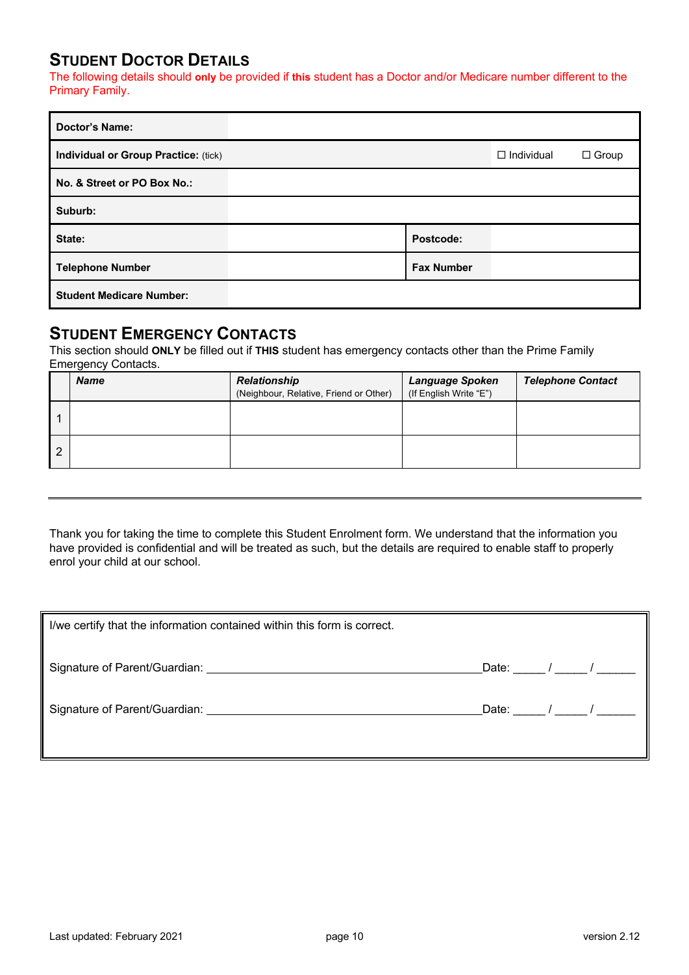### **STUDENT DOCTOR DETAILS**

The following details should **only** be provided if **this** student has a Doctor and/or Medicare number different to the Primary Family.

| <b>Doctor's Name:</b>                |                   |                   |              |
|--------------------------------------|-------------------|-------------------|--------------|
| Individual or Group Practice: (tick) |                   | $\Box$ Individual | $\Box$ Group |
| No. & Street or PO Box No.:          |                   |                   |              |
| Suburb:                              |                   |                   |              |
| State:                               | Postcode:         |                   |              |
| <b>Telephone Number</b>              | <b>Fax Number</b> |                   |              |
| <b>Student Medicare Number:</b>      |                   |                   |              |

### **STUDENT EMERGENCY CONTACTS**

This section should **ONLY** be filled out if **THIS** student has emergency contacts other than the Prime Family Emergency Contacts.

|   | <b>Name</b> | <b>Relationship</b><br>(Neighbour, Relative, Friend or Other) | <b>Language Spoken</b><br>(If English Write "E") | <b>Telephone Contact</b> |
|---|-------------|---------------------------------------------------------------|--------------------------------------------------|--------------------------|
|   |             |                                                               |                                                  |                          |
| 2 |             |                                                               |                                                  |                          |

Thank you for taking the time to complete this Student Enrolment form. We understand that the information you have provided is confidential and will be treated as such, but the details are required to enable staff to properly enrol your child at our school.

| I/we certify that the information contained within this form is correct. |                               |                      |
|--------------------------------------------------------------------------|-------------------------------|----------------------|
| Signature of Parent/Guardian: Signature of Parent/Guardian:              | Date:                         | $\frac{1}{\sqrt{2}}$ |
| Signature of Parent/Guardian:                                            | Date: $\frac{1}{\sqrt{2\pi}}$ |                      |
|                                                                          |                               |                      |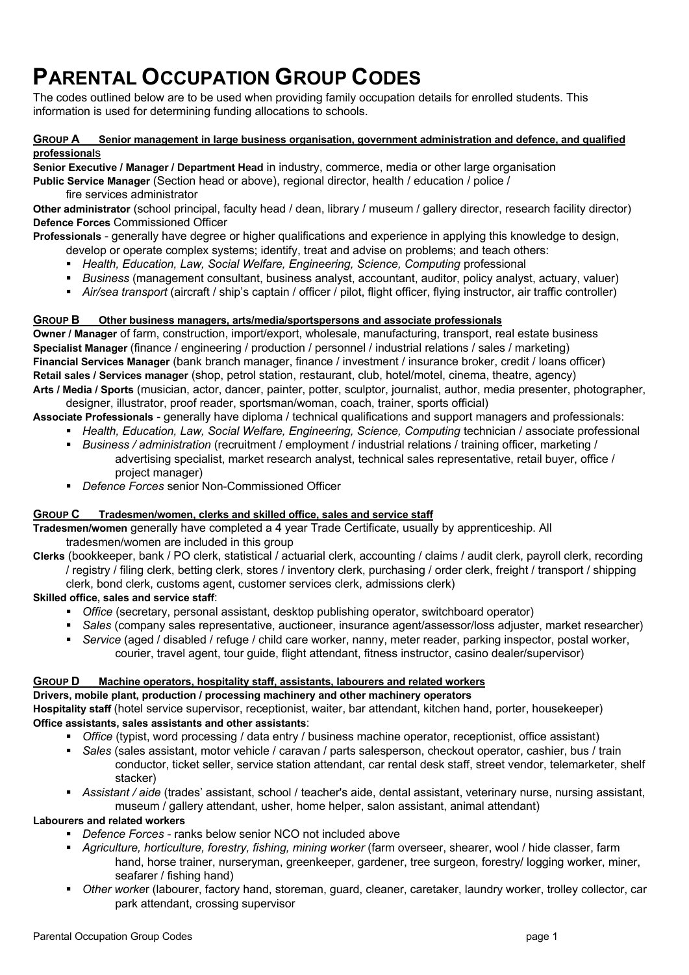# **PARENTAL OCCUPATION GROUP CODES**

The codes outlined below are to be used when providing family occupation details for enrolled students. This information is used for determining funding allocations to schools.

#### **GROUP A Senior management in large business organisation, government administration and defence, and qualified professional**s

**Senior Executive / Manager / Department Head** in industry, commerce, media or other large organisation

**Public Service Manager** (Section head or above), regional director, health / education / police / fire services administrator

**Other administrator** (school principal, faculty head / dean, library / museum / gallery director, research facility director) **Defence Forces** Commissioned Officer

**Professionals** - generally have degree or higher qualifications and experience in applying this knowledge to design, develop or operate complex systems; identify, treat and advise on problems; and teach others:

- Health, Education, Law, Social Welfare, Engineering, Science, Computing professional
- § *Business* (management consultant, business analyst, accountant, auditor, policy analyst, actuary, valuer)
- § *Air/sea transport* (aircraft / ship's captain / officer / pilot, flight officer, flying instructor, air traffic controller)

#### **GROUP B Other business managers, arts/media/sportspersons and associate professionals**

**Owner / Manager** of farm, construction, import/export, wholesale, manufacturing, transport, real estate business **Specialist Manager** (finance / engineering / production / personnel / industrial relations / sales / marketing) **Financial Services Manager** (bank branch manager, finance / investment / insurance broker, credit / loans officer) **Retail sales / Services manager** (shop, petrol station, restaurant, club, hotel/motel, cinema, theatre, agency) **Arts / Media / Sports** (musician, actor, dancer, painter, potter, sculptor, journalist, author, media presenter, photographer,

designer, illustrator, proof reader, sportsman/woman, coach, trainer, sports official)

**Associate Professionals** - generally have diploma / technical qualifications and support managers and professionals:

- *Health, Education, Law, Social Welfare, Engineering, Science, Computing technician / associate professional*
- § *Business / administration* (recruitment / employment / industrial relations / training officer, marketing / advertising specialist, market research analyst, technical sales representative, retail buyer, office / project manager)
- *Defence Forces* senior Non-Commissioned Officer

#### **GROUP C Tradesmen/women, clerks and skilled office, sales and service staff**

**Tradesmen/women** generally have completed a 4 year Trade Certificate, usually by apprenticeship. All tradesmen/women are included in this group

**Clerks** (bookkeeper, bank / PO clerk, statistical / actuarial clerk, accounting / claims / audit clerk, payroll clerk, recording / registry / filing clerk, betting clerk, stores / inventory clerk, purchasing / order clerk, freight / transport / shipping clerk, bond clerk, customs agent, customer services clerk, admissions clerk)

#### **Skilled office, sales and service staff**:

- § *Office* (secretary, personal assistant, desktop publishing operator, switchboard operator)
- § *Sales* (company sales representative, auctioneer, insurance agent/assessor/loss adjuster, market researcher)
- *Service* (aged / disabled / refuge / child care worker, nanny, meter reader, parking inspector, postal worker, courier, travel agent, tour guide, flight attendant, fitness instructor, casino dealer/supervisor)

#### **GROUP D Machine operators, hospitality staff, assistants, labourers and related workers**

#### **Drivers, mobile plant, production / processing machinery and other machinery operators**

**Hospitality staff** (hotel service supervisor, receptionist, waiter, bar attendant, kitchen hand, porter, housekeeper) **Office assistants, sales assistants and other assistants**:

- § *Office* (typist, word processing / data entry / business machine operator, receptionist, office assistant)
- § *Sales* (sales assistant, motor vehicle / caravan / parts salesperson, checkout operator, cashier, bus / train conductor, ticket seller, service station attendant, car rental desk staff, street vendor, telemarketer, shelf stacker)
- § *Assistant / aide* (trades' assistant, school / teacher's aide, dental assistant, veterinary nurse, nursing assistant, museum / gallery attendant, usher, home helper, salon assistant, animal attendant)

#### **Labourers and related workers**

- § *Defence Forces* ranks below senior NCO not included above
- § *Agriculture, horticulture, forestry, fishing, mining worker* (farm overseer, shearer, wool / hide classer, farm hand, horse trainer, nurseryman, greenkeeper, gardener, tree surgeon, forestry/ logging worker, miner, seafarer / fishing hand)
- § *Other worke*r (labourer, factory hand, storeman, guard, cleaner, caretaker, laundry worker, trolley collector, car park attendant, crossing supervisor